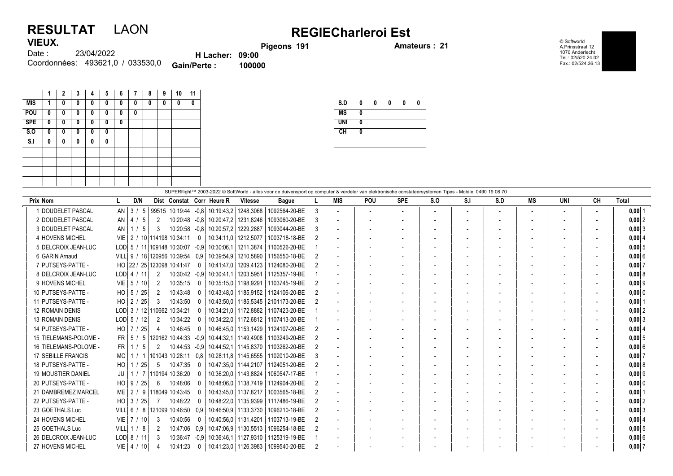## RESULTAT LAON REGIECharleroi Est **VIEUX**

Pigeons 191 **Amateurs : 21** 

© Softworld A.Prinsstraat 12 1070 Anderlecht Tel.: 02/520.24.02 Fax.: 02/524.36.13

| 1169A. |                                  |                        | Pig    |
|--------|----------------------------------|------------------------|--------|
| Date : | 23/04/2022                       | <b>H</b> Lacher: 09:00 |        |
|        | Coordonnées: 493621,0 / 033530,0 | <b>Gain/Perte:</b>     | 100000 |

|            | 1 | $\mathbf{2}$ | 3 | 4 | 5 | 6 | 7 | 8 | 9 | 10 | 11 |
|------------|---|--------------|---|---|---|---|---|---|---|----|----|
| <b>MIS</b> | 1 | 0            | 0 | 0 | 0 | 0 | 0 | 0 | 0 | 0  | 0  |
| POU        | 0 | 0            | 0 | 0 | 0 | 0 | 0 |   |   |    |    |
| <b>SPE</b> | 0 | 0            | 0 | 0 | 0 | 0 |   |   |   |    |    |
| S.0        | 0 | 0            | 0 | 0 | 0 |   |   |   |   |    |    |
| S.I        | 0 | 0            | 0 | 0 | 0 |   |   |   |   |    |    |
|            |   |              |   |   |   |   |   |   |   |    |    |
|            |   |              |   |   |   |   |   |   |   |    |    |
|            |   |              |   |   |   |   |   |   |   |    |    |
|            |   |              |   |   |   |   |   |   |   |    |    |

| S.D        | 0 | 0 | 0 | 0 | Λ |
|------------|---|---|---|---|---|
| <b>MS</b>  | 0 |   |   |   |   |
| <b>UNI</b> | 0 |   |   |   |   |
| CH         | 0 |   |   |   |   |
|            |   |   |   |   |   |

| SUPERflight™ 2003-2022 © SoftWorld - alles voor de duivensport op computer & verdeler van elektronische constateersystemen Tipes - Mobile: 0490 19 08 70 |                                |                |                        |          |                           |                        |                                        |                |                          |                |            |                          |     |     |                          |                          |           |            |
|----------------------------------------------------------------------------------------------------------------------------------------------------------|--------------------------------|----------------|------------------------|----------|---------------------------|------------------------|----------------------------------------|----------------|--------------------------|----------------|------------|--------------------------|-----|-----|--------------------------|--------------------------|-----------|------------|
| Prix Nom                                                                                                                                                 | D/N                            |                |                        |          | Dist Constat Corr Heure R | <b>Vitesse</b>         | <b>Bague</b>                           |                | <b>MIS</b>               | <b>POU</b>     | <b>SPE</b> | S.O                      | S.I | S.D | MS                       | UNI                      | <b>CH</b> | Total      |
| 1 DOUDELET PASCAL                                                                                                                                        | $AN$ 3 / 5                     |                | 99515 10:19:44         | $ -0.8 $ | 10:19:43.2   1248.3068    |                        | 1092564-20-BE                          | 3 <sup>1</sup> | $\overline{a}$           | $\overline{a}$ |            | $\overline{\phantom{a}}$ |     |     | $\overline{\phantom{a}}$ | $\overline{\phantom{a}}$ |           | $0,00$  1  |
| 2 DOUDELET PASCAL                                                                                                                                        | $AN$   4 / 5                   | 2              | 10:20:48 -0.8          |          | 10:20:47.2 1231.8246      |                        | 1093060-20-BE                          | 3              | $\overline{\phantom{a}}$ |                |            |                          |     |     | $\overline{\phantom{a}}$ |                          |           | 0,00 2     |
| 3 DOUDELET PASCAL                                                                                                                                        | $AN$ 1 / 5                     | 3              | 10:20:58 -0.8          |          | 10:20:57.2 1229.2887      |                        | 1093044-20-BE                          | 3              | $\overline{\phantom{a}}$ |                |            |                          |     |     | $\overline{\phantom{a}}$ |                          |           | $0,00$ 3   |
| 4 HOVENS MICHEL                                                                                                                                          | VIE 2 / 10 114198 10:34:11     |                |                        |          | 10:34:11.0   1212.5077    |                        | 1003718-18-BE                          |                | $\overline{\phantom{a}}$ |                |            |                          |     |     | $\overline{\phantom{0}}$ |                          |           | 0,00   4   |
| 5 DELCROIX JEAN-LUC                                                                                                                                      | LOD 5 / 11 109148 10:30:07     |                |                        | $ -0.9 $ | 10:30:06.1                | 1211.3874              | 1100526-20-BE                          |                |                          |                |            |                          |     |     |                          |                          |           | $0,00$ 5   |
| 6 GARIN Arnaud                                                                                                                                           | VILL  9 / 18 120956 10:39:54   |                |                        | 0.9      | 10:39:54.9                | 1210.5890              | 1156550-18-BE                          |                | $\overline{\phantom{a}}$ |                |            |                          |     |     |                          |                          |           | 0,006      |
| 7 PUTSEYS-PATTE -                                                                                                                                        | HO 22 / 25 123098 10:41:47     |                |                        | $\Omega$ | 10:41:47.0                | 1209,4123              | 1124080-20-BE                          |                | $\overline{\phantom{a}}$ |                |            |                          |     |     |                          |                          |           | $0,00$ 7   |
| 8 DELCROIX JEAN-LUC                                                                                                                                      | LODI 4 / 11                    | $\overline{2}$ | 10:30:42 -0.9          |          | 10:30:41.1                | 1203.5951              | 1125357-19-BE                          |                | $\overline{\phantom{a}}$ |                |            |                          |     |     |                          |                          |           | 0.0018     |
| 9 HOVENS MICHEL                                                                                                                                          | $VIE$ 5 / 10                   | 2              | 10:35:15               | $\Omega$ | 10:35:15.0                | 1198,9291              | 1103745-19-BE                          |                | $\blacksquare$           |                |            |                          |     |     | $\overline{\phantom{a}}$ |                          |           | $0,00$  9  |
| 10 PUTSEYS-PATTE -                                                                                                                                       | HO 5 / 25                      | 2              | 10:43:48               | $\Omega$ |                           | 10:43:48.0   1185.9152 | 1124106-20-BE                          |                | $\overline{a}$           |                |            |                          |     |     | $\overline{\phantom{a}}$ |                          |           | 0,00 0     |
| 11 PUTSEYS-PATTE -                                                                                                                                       | HO   2 / 25                    | 3              | 10:43:50               | $\Omega$ |                           |                        | 10:43:50.0   1185.5345   2101173-20-BE |                | $\overline{\phantom{a}}$ |                |            |                          |     |     | $\overline{\phantom{a}}$ |                          |           | $0,00$   1 |
| <b>12 ROMAIN DENIS</b>                                                                                                                                   | LOD 3 / 12 110662 10:34:21     |                |                        |          |                           | 10:34:21.0   1172.8882 | 1107423-20-BE                          |                | $\blacksquare$           |                |            |                          |     |     | $\overline{\phantom{a}}$ |                          |           | $0,00$  2  |
| <b>13 ROMAIN DENIS</b>                                                                                                                                   | LOD  5 / 12                    | 2              | 10:34:22               |          |                           | 10:34:22.0   1172.6812 | 1107413-20-BE                          |                |                          |                |            |                          |     |     |                          |                          |           | $0,00$ 3   |
| 14 PUTSEYS-PATTE -                                                                                                                                       | $HO$   7 / 25                  | 4              | 10:46:45               |          |                           | 10:46:45.0   1153.1429 | 1124107-20-BE                          |                | $\overline{\phantom{a}}$ |                |            |                          |     |     | $\overline{\phantom{a}}$ |                          |           | 0,0014     |
| 15 TIELEMANS-POLOME -                                                                                                                                    | $FR$   5 / 5                   |                | 120162  10:44:33  -0.9 |          | 10:44:32.1   1149.4908    |                        | 1103249-20-BE                          |                | $\overline{a}$           |                |            |                          |     |     | $\overline{\phantom{a}}$ |                          |           | $0,00$ 5   |
| 16 TIELEMANS-POLOME -                                                                                                                                    | $FR$ 1<br>-5                   | 2              | 10:44:53 -0.9          |          | 10:44:52,1                | 1145,8370              | 1103262-20-BE                          |                | $\overline{a}$           |                |            |                          |     |     |                          |                          |           | $0,00$ 6   |
| <b>17 SEBILLE FRANCIS</b>                                                                                                                                | $MO$   1                       |                | 101043 10:28:11        | 0.8      | 10:28:11.8   1145.6555    |                        | 1102010-20-BE                          | 3              |                          |                |            |                          |     |     |                          |                          |           | $0,00$ 7   |
| 18 PUTSEYS-PATTE -                                                                                                                                       | 25                             | 5              | 10:47:35               |          |                           | 10:47:35.0   1144.2107 | 1124051-20-BE                          |                | $\blacksquare$           |                |            |                          |     |     | $\overline{\phantom{a}}$ |                          |           | 0.0018     |
| <b>19 MOUSTIER DANIEL</b>                                                                                                                                | JU   1 / 7   110194   10:36:20 |                |                        | $\Omega$ | 10:36:20.0   1143.8824    |                        | 1060547-17-BE                          |                |                          |                |            |                          |     |     |                          |                          |           | $0.00$  9  |
| 20 PUTSEYS-PATTE -                                                                                                                                       | HO   9 / 25                    | 6              | 10:48:06               | $\Omega$ |                           | 10:48:06.0   1138.7419 | 1124904-20-BE                          |                | $\blacksquare$           |                |            |                          |     |     | $\overline{\phantom{a}}$ |                          |           | 0.00 0     |
| 21 DAMBREMEZ MARCEL                                                                                                                                      | ME   2 / 9  118049  10:43:45   |                |                        |          | 10:43:45.0   1137.8217    |                        | 1003565-18-BE                          |                | $\overline{a}$           |                |            |                          |     |     | $\overline{\phantom{a}}$ |                          |           | $0,00$   1 |
| 22 PUTSEYS-PATTE -                                                                                                                                       | $HO$ 3 /<br>25                 | -7             | 10:48:22               |          |                           | 10:48:22.0   1135.9399 | 1117486-19-BE                          |                | $\blacksquare$           |                |            |                          |     |     |                          |                          |           | $0,00$  2  |
| 23 GOETHALS Luc                                                                                                                                          |                                |                |                        |          |                           | 10:46:50,9   1133,3730 | 1096210-18-BE                          |                | $\overline{\phantom{a}}$ |                |            |                          |     |     |                          |                          |           | $0,00$ 3   |
| 24 HOVENS MICHEL                                                                                                                                         | VIE   7 / 10                   | 3              | 10:40:56               |          | 10:40:56.0   1131.4201    |                        | 1103713-19-BE                          |                | $\overline{a}$           |                |            |                          |     |     |                          |                          |           | 0,00   4   |
| 25 GOETHALS Luc                                                                                                                                          | VILL  1 / 8                    | 2              | 10:47:06 0.9           |          |                           | 10:47:06.9   1130.5513 | 1096254-18-BE                          |                | $\overline{\phantom{a}}$ |                |            |                          |     |     | $\overline{\phantom{a}}$ |                          |           | $0,00$ 5   |
| 26 DELCROIX JEAN-LUC                                                                                                                                     | LODI 8 / 11                    | 3              | 10:36:47 -0.9          |          |                           | 10:36:46.1   1127.9310 | 1125319-19-BE                          |                |                          |                |            |                          |     |     |                          |                          |           | $0,00$ 6   |
| 27 HOVENS MICHEL                                                                                                                                         | $VIE$   4 / 10                 |                | 10:41:23               |          |                           | 10:41:23.0   1126.3983 | 1099540-20-BE                          |                |                          |                |            |                          |     |     |                          |                          |           | $0,00$ 7   |